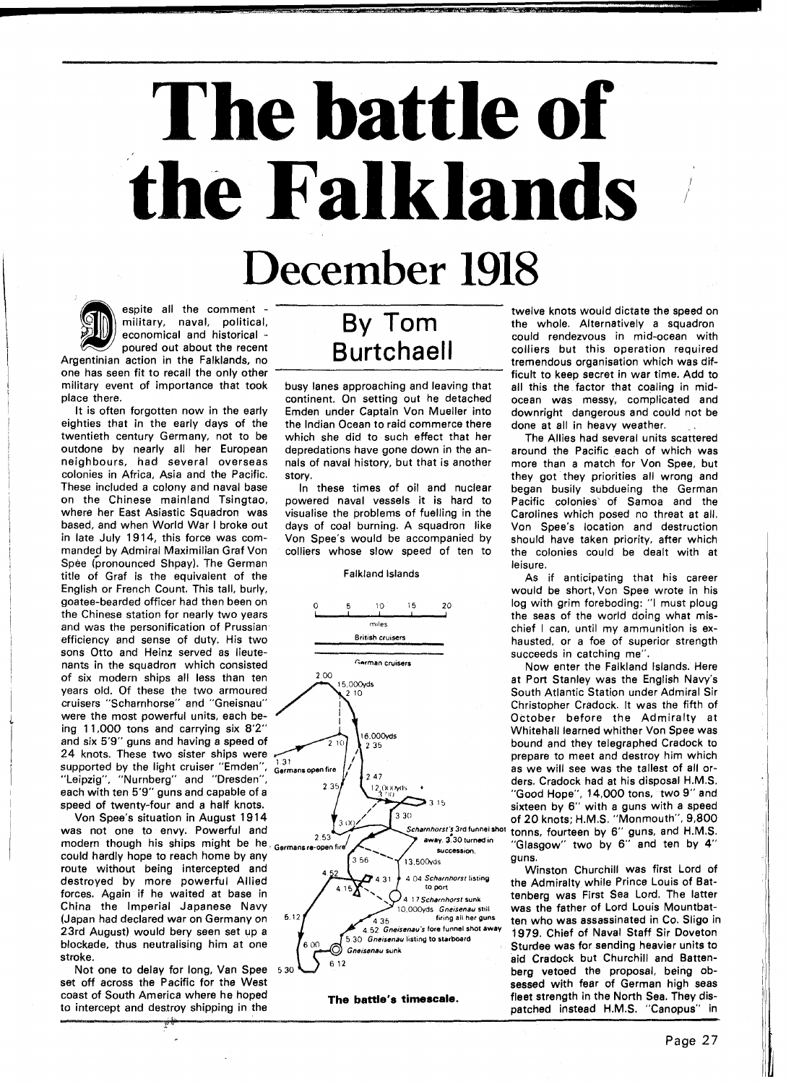## -- **--p battle of the Falklands**

## December 1918



military event of importance that took place there.

It is often forgotten now in the early eighties that in the early days of the twentieth century Germany, not to be outdone by nearly all her European neighbours, had several overseas colonies in Africa, Asia and the Pacific. These included a colony and naval base on the Chinese mainland Tsingtao, where her East Asiastic Squadron was based, and when World War I broke out in late July 1914, this force was commanded by Admiral Maximilian Graf Von Spee (pronounced Shpay). The German title of Graf is the equivalent of the English or French Count. This tall, burly, goatee-bearded officer had then been on the Chinese station for nearly two years and was the personification of Prussian efficiency and sense of duty. His two sons Otto and Heinz served as lieutenants in the squadron which consisted of six modern ships all less than ten years old. Of these the two armoured cruisers "Scharnhorse" and "Gneisnau" were the most powerful units, each being 11,000 tons and carrying six 8'2" and six 5'9" guns and having a speed of 24 knots. These two sister ships were supported by the light cruiser "Emden",  $_{\text{Germans open fire}}$ "Leipzig", "Nurnberg" and "Dresden", each with ten 5'9" guns and capable of a

Von Spee's situation in August 1914<br>was not one to envy. Powerful and 23rd August) would bery seen set up a **nested and a new approximate** 4.52 Gneisenau's fore funnel show a hot away **away is a new approximate** 5.30 Gneisenau listing to starboard

busy lanes approaching and leaving that continent. On setting out he detached Emden under Captain Von Mueller into the Indian Ocean to raid commerce there which she did to such effect that her depredations have gone down in the annals of naval history, but that is another story.

In these times of oil and nuclear powered naval vessels it is hard to visualise the problems of fuelling in the days of coal burning. A squadron like Von Spee's would be accompanied by colliers whose slow speed of ten to

## Falkland Islands



espite all the comment - twelve knots would dictate the speed on military, naval, political, **By Tom** the whole. Alternatively a squadron military, naval, political, **By IOM** the whole. Alternatively a squadron economical and historical - **BY IOM** could rendezvous in mid-ocean with economical and historical -  $\overline{Burtchael}$  could rendezvous in mid-ocean with<br>poured out about the recent<br>existen in the Fellidands po poured out about the recent **Burtchaell** colliers but this operation required<br>one has seen fit to recall the only other **Burtchaell** cone has seen fit to recall the only other tremendous organisation which was difficult to keep secret in war time. Add to all this the factor that coaling in midocean was messy, complicated and downright dangerous and could not be done at all in heavy weather.

> The Allies had several units scattered around the Pacific each of which was more than a match for Von Spee, but they got they priorities all wrong and began busily subdueing the German Pacific colonies' of Samoa and the Carolines which posed no threat at all. Von Spee's location and destruction should have taken priority, after which the colonies could be dealt with at leisure.

> As if anticipating that his career would be short, Von Spee wrote in his log with grim foreboding: "I must ploug the seas of the world doing what mischief I can, until my ammunition is exhausted, or a foe of superior strength succeeds in catching me".

Now enter the Falkland Islands. Here at Port Stanley was the English Navy's South Atlantic Station under Admiral Sir Christopher Cradock. It was the fifth of October before the Admiralty at Whitehall learned whither Von Spee was bound and they telegraphed Cradock to prepare to meet and destroy him which as we will see was the tallest of all orders. Cradock had at his disposal H.M.S. "Good Hope", 14,000 tons, two 9" and sixteen by 6" with a guns with a speed of 20 knots: H.M.S. "Monmouth", 9,800 **successlm** "Glasgow" two by **6"** and ten by **4"** 

1979. Chief of Naval Staff Sir Doveton coast of South America where he hoped **The battle's timescale.** fleet strength in the North Sea. They dis